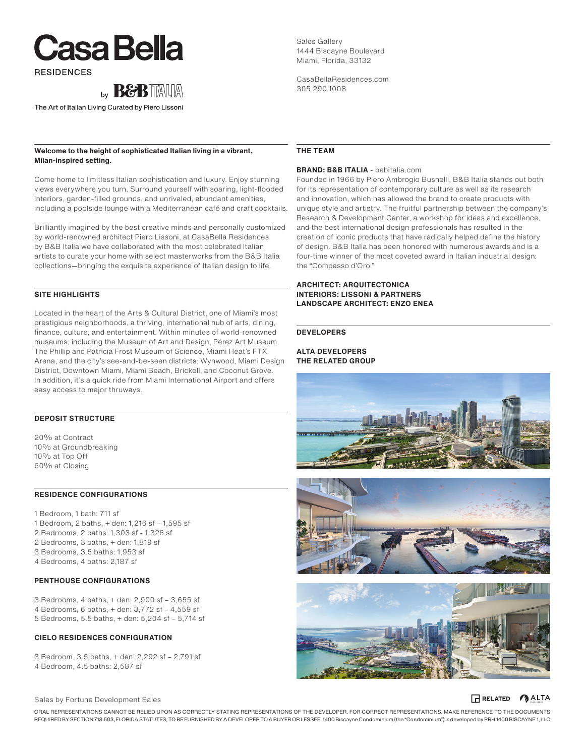# **Casa Bella**

**RESIDENCES** 



The Art of Italian Living Curated by Piero Lissoni

### **Welcome to the height of sophisticated Italian living in a vibrant, Milan-inspired setting.**

Come home to limitless Italian sophistication and luxury. Enjoy stunning views everywhere you turn. Surround yourself with soaring, light-flooded interiors, garden-filled grounds, and unrivaled, abundant amenities, including a poolside lounge with a Mediterranean café and craft cocktails.

Brilliantly imagined by the best creative minds and personally customized by world-renowned architect Piero Lissoni, at CasaBella Residences by B&B Italia we have collaborated with the most celebrated Italian artists to curate your home with select masterworks from the B&B Italia collections—bringing the exquisite experience of Italian design to life.

### **SITE HIGHLIGHTS**

Located in the heart of the Arts & Cultural District, one of Miami's most prestigious neighborhoods, a thriving, international hub of arts, dining, finance, culture, and entertainment. Within minutes of world-renowned museums, including the Museum of Art and Design, Pérez Art Museum, The Phillip and Patricia Frost Museum of Science, Miami Heat's FTX Arena, and the city's see-and-be-seen districts: Wynwood, Miami Design District, Downtown Miami, Miami Beach, Brickell, and Coconut Grove. In addition, it's a quick ride from Miami International Airport and offers easy access to major thruways.

### **DEPOSIT STRUCTURE**

20% at Contract 10% at Groundbreaking 10% at Top Off 60% at Closing

### **RESIDENCE CONFIGURATIONS**

1 Bedroom, 1 bath: 711 sf 1 Bedroom, 2 baths, + den: 1,216 sf – 1,595 sf 2 Bedrooms, 2 baths: 1,303 sf - 1,326 sf 2 Bedrooms, 3 baths, + den: 1,819 sf 3 Bedrooms, 3.5 baths: 1,953 sf 4 Bedrooms, 4 baths: 2,187 sf

### **PENTHOUSE CONFIGURATIONS**

3 Bedrooms, 4 baths, + den: 2,900 sf – 3,655 sf 4 Bedrooms, 6 baths, + den: 3,772 sf – 4,559 sf 5 Bedrooms, 5.5 baths, + den: 5,204 sf – 5,714 sf

### **CIELO RESIDENCES CONFIGURATION**

3 Bedroom, 3.5 baths, + den: 2,292 sf – 2,791 sf 4 Bedroom, 4.5 baths: 2,587 sf

Sales Gallery 1444 Biscayne Boulevard Miami, Florida, 33132

CasaBellaResidences.com 305.290.1008

### **THE TEAM**

### **BRAND: B&B ITALIA** - bebitalia.com

Founded in 1966 by Piero Ambrogio Busnelli, B&B Italia stands out both for its representation of contemporary culture as well as its research and innovation, which has allowed the brand to create products with unique style and artistry. The fruitful partnership between the company's Research & Development Center, a workshop for ideas and excellence, and the best international design professionals has resulted in the creation of iconic products that have radically helped define the history of design. B&B Italia has been honored with numerous awards and is a four-time winner of the most coveted award in Italian industrial design: the "Compasso d'Oro."

### **ARCHITECT: ARQUITECTONICA INTERIORS: LISSONI & PARTNERS LANDSCAPE ARCHITECT: ENZO ENEA**

### **DEVELOPERS**

**ALTA DEVELOPERS THE RELATED GROUP**







### Sales by Fortune Development Sales

ORAL REPRESENTATIONS CANNOT BE RELIED UPON AS CORRECTLY STATING REPRESENTATIONS OF THE DEVELOPER. FOR CORRECT REPRESENTATIONS, MAKE REFERENCE TO THE DOCUMENTS REQUIRED BY SECTION 718.503, FLORIDA STATUTES, TO BE FURNISHED BY A DEVELOPER TO A BUYER OR LESSEE. 1400 Biscayne Condominium (the "Condominium") is developed by PRH 1400 BISCAYNE 1, LLC

### **RELATED** ALTA